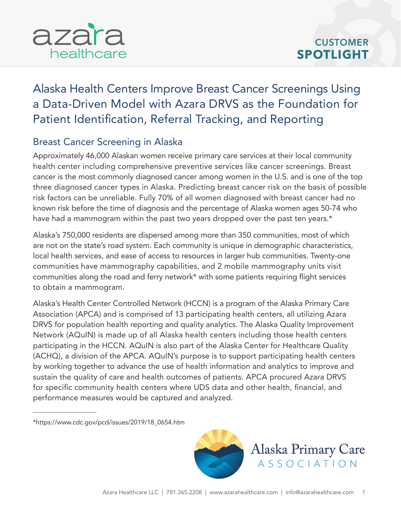# [Alaska Health Centers Improve Breast Cancer Screenings Using](https://azarahealthcare.com/)  a Data-Driven Model with Azara DRVS as the Foundation for Patient Identification, Referral Tracking, and Reporting

#### Breast Cancer Screening in Alaska

Approximately 46,000 Alaskan women receive primary care services at their local community health center including comprehensive preventive services like cancer screenings. Breast cancer is the most commonly diagnosed cancer among women in the U.S. and is one of the top three diagnosed cancer types in Alaska. Predicting breast cancer risk on the basis of possible risk factors can be unreliable. Fully 70% of all women diagnosed with breast cancer had no known risk before the time of diagnosis and the percentage of Alaska women ages 50-74 who have had a mammogram within the past two years dropped over the past ten years.\*

Alaska's 750,000 residents are dispersed among more than 350 communities, most of which are not on the state's road system. Each community is unique in demographic characteristics, local health services, and ease of access to resources in larger hub communities. Twenty-one communities have mammography capabilities, and 2 mobile mammography units visit communities along the road and ferry network\* with some patients requiring flight services to obtain a mammogram.

Alaska's Health Center Controlled Network (HCCN) is a program of the Alaska Primary Care Association (APCA) and is comprised of 13 participating health centers, all utilizing Azara DRVS for population health reporting and quality analytics. The Alaska Quality Improvement Network (AQuIN) is made up of all Alaska health centers including those health centers participating in the HCCN. AQuIN is also part of the Alaska Center for Healthcare Quality (ACHQ), a division of the APCA. AQuIN's purpose is to support participating health centers by working together to advance the use of health information and analytics to improve and sustain the quality of care and health outcomes of patients. APCA procured Azara DRVS for specific community health centers where UDS data and other health, financial, and performance measures would be captured and analyzed.

<sup>\*</sup>[https://www.cdc.gov/pcd/issues/2019/18\\_0654.htm](https://www.cdc.gov/pcd/issues/2019/18_0654.htm)



Alaska Primary Care **ASSOCIATION**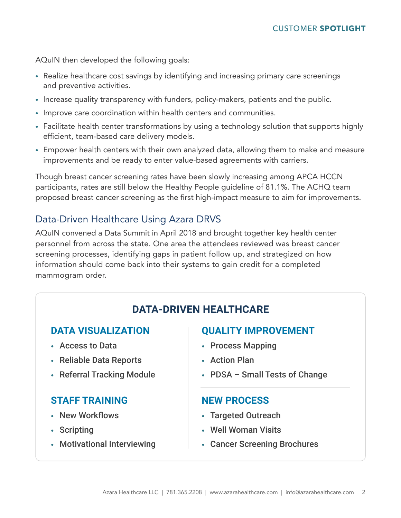AQuIN then developed the following goals:

- Realize healthcare cost savings by identifying and increasing primary care screenings and preventive activities.
- Increase quality transparency with funders, policy-makers, patients and the public.
- Improve care coordination within health centers and communities.
- Facilitate health center transformations by using a technology solution that supports highly efficient, team-based care delivery models.
- Empower health centers with their own analyzed data, allowing them to make and measure improvements and be ready to enter value-based agreements with carriers.

Though breast cancer screening rates have been slowly increasing among APCA HCCN participants, rates are still below the Healthy People guideline of 81.1%. The ACHQ team proposed breast cancer screening as the first high-impact measure to aim for improvements.

#### Data-Driven Healthcare Using Azara DRVS

AQuIN convened a Data Summit in April 2018 and brought together key health center personnel from across the state. One area the attendees reviewed was breast cancer screening processes, identifying gaps in patient follow up, and strategized on how information should come back into their systems to gain credit for a completed mammogram order.

## **DATA-DRIVEN HEALTHCARE**

#### **DATA VISUALIZATION**

- Access to Data
- Reliable Data Reports
- Referral Tracking Module

#### **STAFF TRAINING**

- New Workflows
- Scripting
- Motivational Interviewing

#### **QUALITY IMPROVEMENT**

- Process Mapping
- Action Plan
- PDSA Small Tests of Change

#### **NEW PROCESS**

- Targeted Outreach
- Well Woman Visits
- Cancer Screening Brochures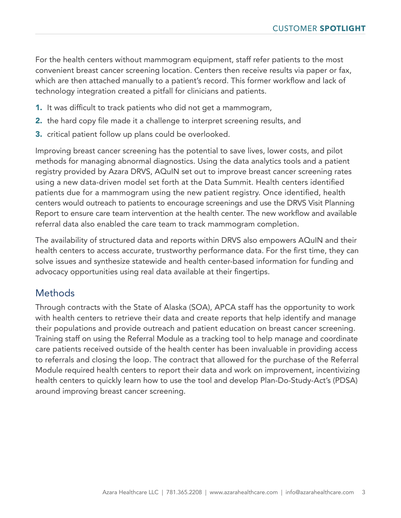For the health centers without mammogram equipment, staff refer patients to the most convenient breast cancer screening location. Centers then receive results via paper or fax, which are then attached manually to a patient's record. This former workflow and lack of technology integration created a pitfall for clinicians and patients.

- 1. It was difficult to track patients who did not get a mammogram,
- **2.** the hard copy file made it a challenge to interpret screening results, and
- 3. critical patient follow up plans could be overlooked.

Improving breast cancer screening has the potential to save lives, lower costs, and pilot methods for managing abnormal diagnostics. Using the data analytics tools and a patient registry provided by Azara DRVS, AQuIN set out to improve breast cancer screening rates using a new data-driven model set forth at the Data Summit. Health centers identified patients due for a mammogram using the new patient registry. Once identified, health centers would outreach to patients to encourage screenings and use the DRVS Visit Planning Report to ensure care team intervention at the health center. The new workflow and available referral data also enabled the care team to track mammogram completion.

The availability of structured data and reports within DRVS also empowers AQuIN and their health centers to access accurate, trustworthy performance data. For the first time, they can solve issues and synthesize statewide and health center-based information for funding and advocacy opportunities using real data available at their fingertips.

#### Methods

Through contracts with the State of Alaska (SOA), APCA staff has the opportunity to work with health centers to retrieve their data and create reports that help identify and manage their populations and provide outreach and patient education on breast cancer screening. Training staff on using the Referral Module as a tracking tool to help manage and coordinate care patients received outside of the health center has been invaluable in providing access to referrals and closing the loop. The contract that allowed for the purchase of the Referral Module required health centers to report their data and work on improvement, incentivizing health centers to quickly learn how to use the tool and develop Plan-Do-Study-Act's (PDSA) around improving breast cancer screening.